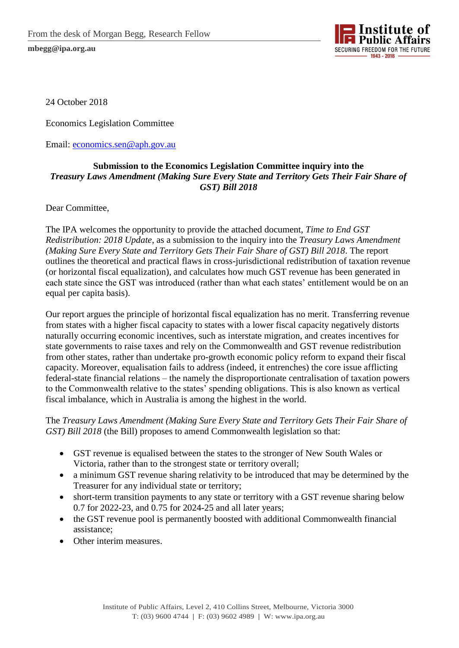

24 October 2018

Economics Legislation Committee

Email: [economics.sen@aph.gov.au](mailto:economics.sen@aph.gov.au)

## **Submission to the Economics Legislation Committee inquiry into the**  *Treasury Laws Amendment (Making Sure Every State and Territory Gets Their Fair Share of GST) Bill 2018*

Dear Committee,

The IPA welcomes the opportunity to provide the attached document, *Time to End GST Redistribution: 2018 Update*, as a submission to the inquiry into the *Treasury Laws Amendment (Making Sure Every State and Territory Gets Their Fair Share of GST) Bill 2018*. The report outlines the theoretical and practical flaws in cross-jurisdictional redistribution of taxation revenue (or horizontal fiscal equalization), and calculates how much GST revenue has been generated in each state since the GST was introduced (rather than what each states' entitlement would be on an equal per capita basis).

Our report argues the principle of horizontal fiscal equalization has no merit. Transferring revenue from states with a higher fiscal capacity to states with a lower fiscal capacity negatively distorts naturally occurring economic incentives, such as interstate migration, and creates incentives for state governments to raise taxes and rely on the Commonwealth and GST revenue redistribution from other states, rather than undertake pro-growth economic policy reform to expand their fiscal capacity. Moreover, equalisation fails to address (indeed, it entrenches) the core issue afflicting federal-state financial relations – the namely the disproportionate centralisation of taxation powers to the Commonwealth relative to the states' spending obligations. This is also known as vertical fiscal imbalance, which in Australia is among the highest in the world.

The *Treasury Laws Amendment (Making Sure Every State and Territory Gets Their Fair Share of GST) Bill 2018* (the Bill) proposes to amend Commonwealth legislation so that:

- GST revenue is equalised between the states to the stronger of New South Wales or Victoria, rather than to the strongest state or territory overall;
- a minimum GST revenue sharing relativity to be introduced that may be determined by the Treasurer for any individual state or territory;
- short-term transition payments to any state or territory with a GST revenue sharing below 0.7 for 2022-23, and 0.75 for 2024-25 and all later years;
- the GST revenue pool is permanently boosted with additional Commonwealth financial assistance;
- Other interim measures.